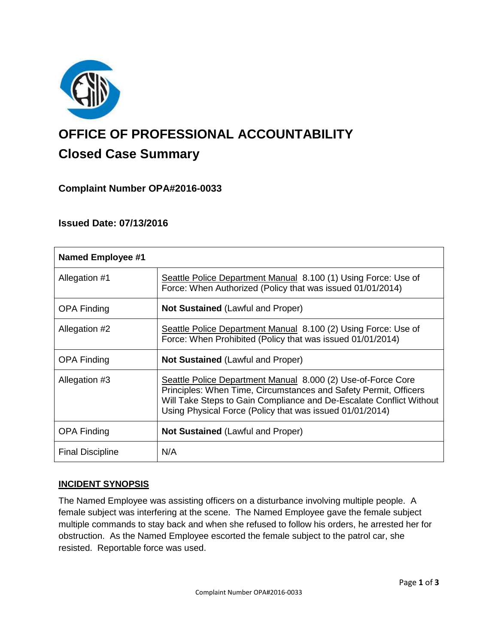

# **OFFICE OF PROFESSIONAL ACCOUNTABILITY Closed Case Summary**

## **Complaint Number OPA#2016-0033**

## **Issued Date: 07/13/2016**

| <b>Named Employee #1</b> |                                                                                                                                                                                                                                                                     |
|--------------------------|---------------------------------------------------------------------------------------------------------------------------------------------------------------------------------------------------------------------------------------------------------------------|
| Allegation #1            | Seattle Police Department Manual 8.100 (1) Using Force: Use of<br>Force: When Authorized (Policy that was issued 01/01/2014)                                                                                                                                        |
| <b>OPA Finding</b>       | <b>Not Sustained (Lawful and Proper)</b>                                                                                                                                                                                                                            |
| Allegation #2            | Seattle Police Department Manual 8.100 (2) Using Force: Use of<br>Force: When Prohibited (Policy that was issued 01/01/2014)                                                                                                                                        |
| <b>OPA Finding</b>       | <b>Not Sustained</b> (Lawful and Proper)                                                                                                                                                                                                                            |
| Allegation #3            | Seattle Police Department Manual 8.000 (2) Use-of-Force Core<br>Principles: When Time, Circumstances and Safety Permit, Officers<br>Will Take Steps to Gain Compliance and De-Escalate Conflict Without<br>Using Physical Force (Policy that was issued 01/01/2014) |
| <b>OPA Finding</b>       | <b>Not Sustained (Lawful and Proper)</b>                                                                                                                                                                                                                            |
| <b>Final Discipline</b>  | N/A                                                                                                                                                                                                                                                                 |

#### **INCIDENT SYNOPSIS**

The Named Employee was assisting officers on a disturbance involving multiple people. A female subject was interfering at the scene. The Named Employee gave the female subject multiple commands to stay back and when she refused to follow his orders, he arrested her for obstruction. As the Named Employee escorted the female subject to the patrol car, she resisted. Reportable force was used.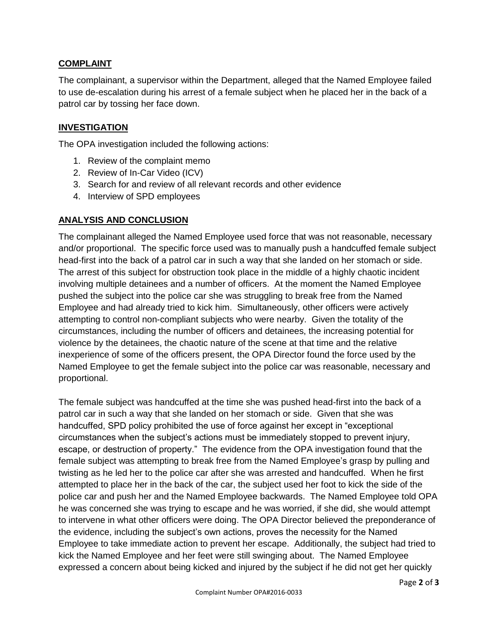## **COMPLAINT**

The complainant, a supervisor within the Department, alleged that the Named Employee failed to use de-escalation during his arrest of a female subject when he placed her in the back of a patrol car by tossing her face down.

## **INVESTIGATION**

The OPA investigation included the following actions:

- 1. Review of the complaint memo
- 2. Review of In-Car Video (ICV)
- 3. Search for and review of all relevant records and other evidence
- 4. Interview of SPD employees

#### **ANALYSIS AND CONCLUSION**

The complainant alleged the Named Employee used force that was not reasonable, necessary and/or proportional. The specific force used was to manually push a handcuffed female subject head-first into the back of a patrol car in such a way that she landed on her stomach or side. The arrest of this subject for obstruction took place in the middle of a highly chaotic incident involving multiple detainees and a number of officers. At the moment the Named Employee pushed the subject into the police car she was struggling to break free from the Named Employee and had already tried to kick him. Simultaneously, other officers were actively attempting to control non-compliant subjects who were nearby. Given the totality of the circumstances, including the number of officers and detainees, the increasing potential for violence by the detainees, the chaotic nature of the scene at that time and the relative inexperience of some of the officers present, the OPA Director found the force used by the Named Employee to get the female subject into the police car was reasonable, necessary and proportional.

The female subject was handcuffed at the time she was pushed head-first into the back of a patrol car in such a way that she landed on her stomach or side. Given that she was handcuffed, SPD policy prohibited the use of force against her except in "exceptional circumstances when the subject's actions must be immediately stopped to prevent injury, escape, or destruction of property." The evidence from the OPA investigation found that the female subject was attempting to break free from the Named Employee's grasp by pulling and twisting as he led her to the police car after she was arrested and handcuffed. When he first attempted to place her in the back of the car, the subject used her foot to kick the side of the police car and push her and the Named Employee backwards. The Named Employee told OPA he was concerned she was trying to escape and he was worried, if she did, she would attempt to intervene in what other officers were doing. The OPA Director believed the preponderance of the evidence, including the subject's own actions, proves the necessity for the Named Employee to take immediate action to prevent her escape. Additionally, the subject had tried to kick the Named Employee and her feet were still swinging about. The Named Employee expressed a concern about being kicked and injured by the subject if he did not get her quickly